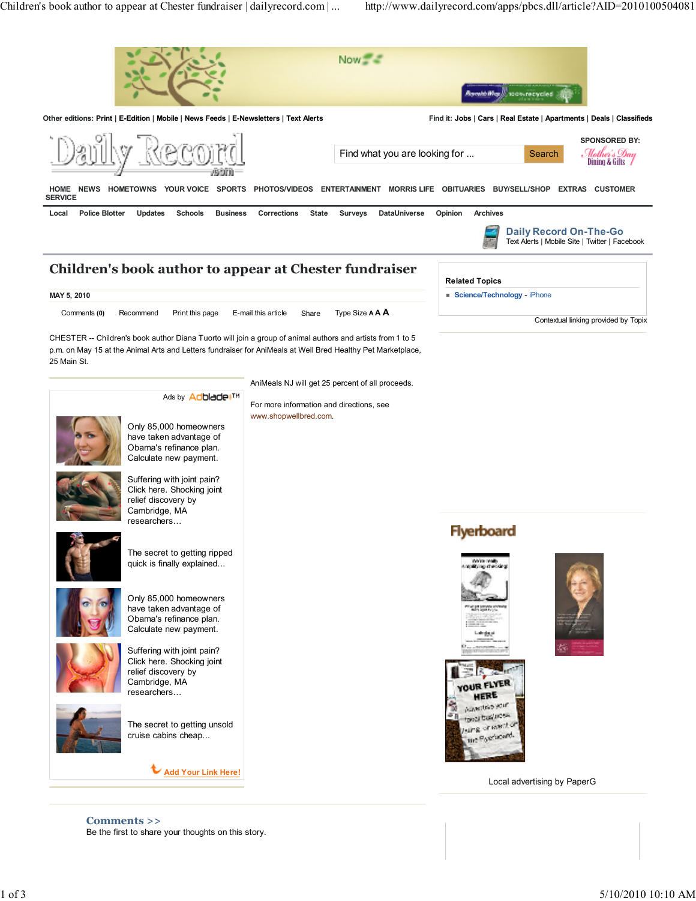